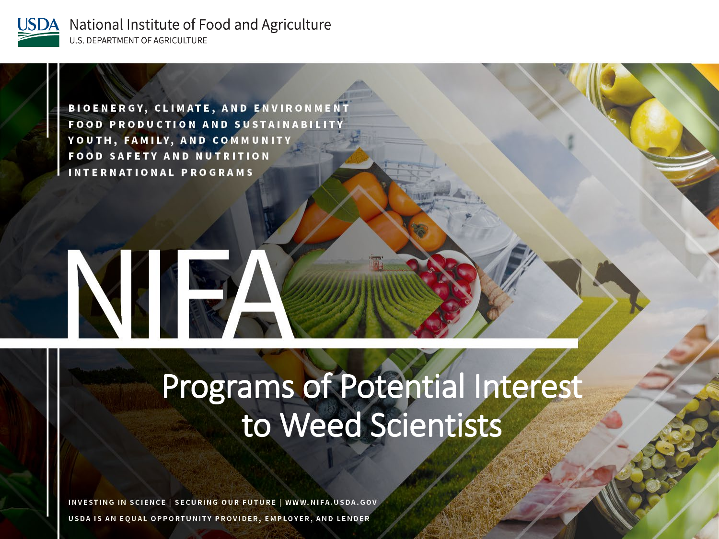

**USDA** National Institute of Food and Agriculture **U.S. DEPARTMENT OF AGRICULTURE** 

> **BIOENERGY, CLIMATE, AND ENVIRONMENT FOOD PRODUCTION AND SUSTAINABILITY** YOUTH, FAMILY, AND COMMUNITY **FOOD SAFETY AND NUTRITION INTERNATIONAL PROGRAMS**

NIE

#### Programs of Potential Interest to Weed Scientists

INVESTING IN SCIENCE | SECURING OUR FUTURE | WWW.NIFA.USDA.GOV USDA IS AN EQUAL OPPORTUNITY PROVIDER, EMPLOYER, AND LENDER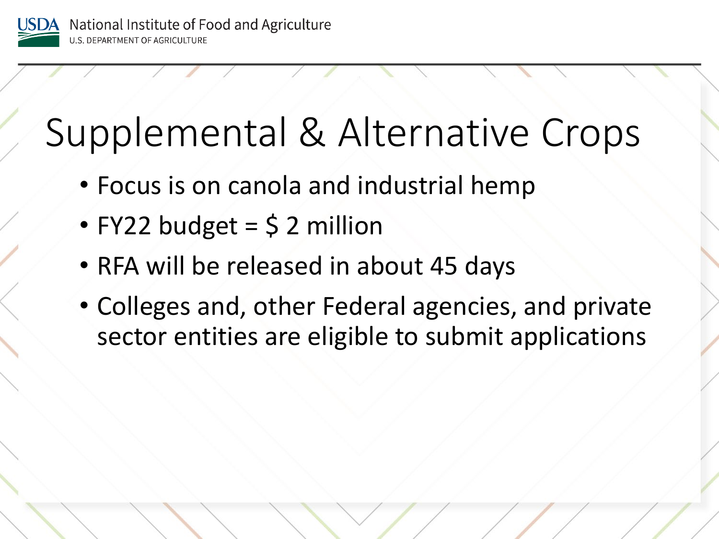

## Supplemental & Alternative Crops

- Focus is on canola and industrial hemp
- FY22 budget  $=$  \$ 2 million
- RFA will be released in about 45 days
- Colleges and, other Federal agencies, and private sector entities are eligible to submit applications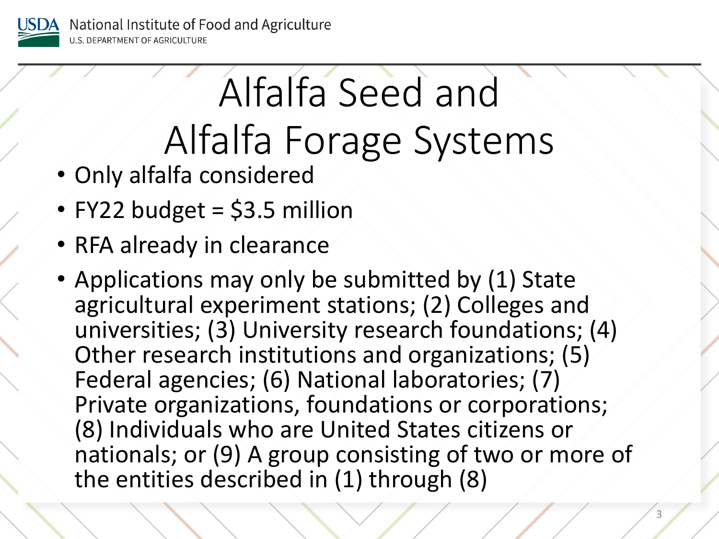

# Alfalfa Seed and Alfalfa Forage Systems

- Only alfalfa considered
- FY22 budget = \$3.5 million
- RFA already in clearance
- Applications may only be submitted by (1) State agricultural experiment stations; (2) Colleges and universities; (3) University research foundations; (4) Other research institutions and organizations; (5) Federal agencies; (6) National laboratories; (7) Private organizations, foundations or corporations; (8) Individuals who are United States citizens or nationals; or (9) A group consisting of two or more of the entities described in (1) through (8)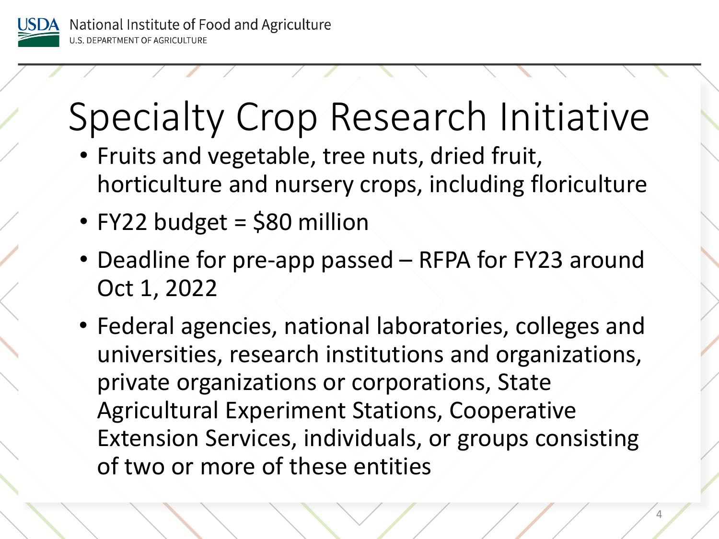

## Specialty Crop Research Initiative

- Fruits and vegetable, tree nuts, dried fruit, horticulture and nursery crops, including floriculture
- FY22 budget = \$80 million
- Deadline for pre-app passed RFPA for FY23 around Oct 1, 2022
- Federal agencies, national laboratories, colleges and universities, research institutions and organizations, private organizations or corporations, State Agricultural Experiment Stations, Cooperative Extension Services, individuals, or groups consisting of two or more of these entities